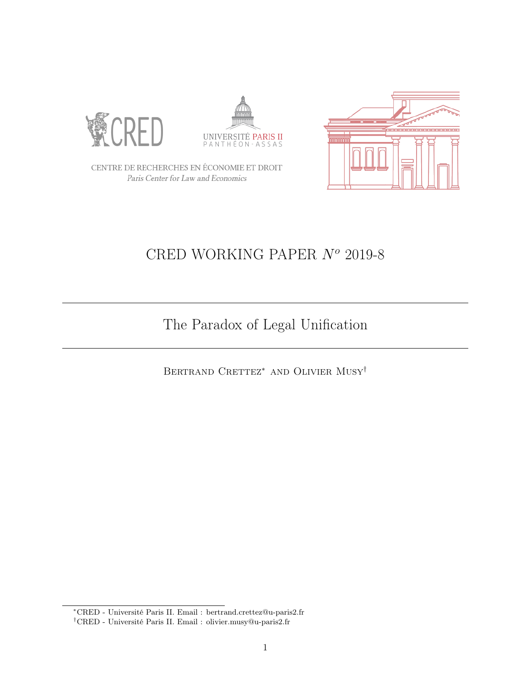





CENTRE DE RECHERCHES EN ÉCONOMIE ET DROIT Paris Center for Law and Economics

# CRED WORKING PAPER  $N^o$  2019-8

# The Paradox of Legal Unification

BERTRAND CRETTEZ<sup>\*</sup> AND OLIVIER  $\text{MUSY}^{\dagger}$ 

<sup>∗</sup>CRED - Université Paris II. Email : bertrand.crettez@u-paris2.fr

 $^\dagger \text{CRED}$  - Université Paris II. Email : olivier.musy@u-paris2.fr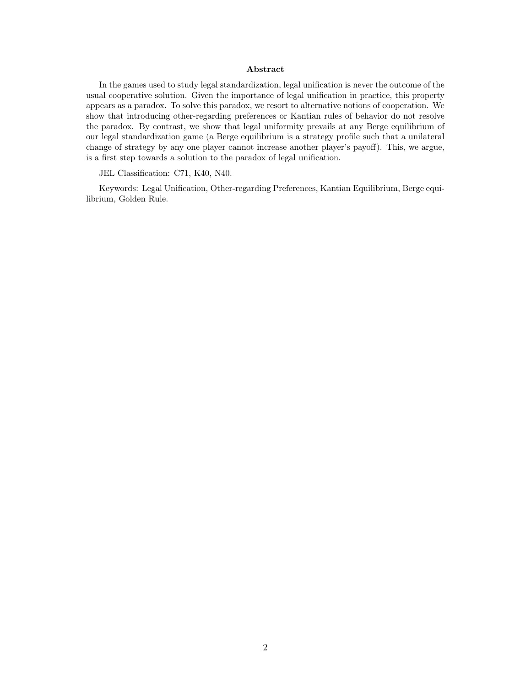#### Abstract

In the games used to study legal standardization, legal unification is never the outcome of the usual cooperative solution. Given the importance of legal unification in practice, this property appears as a paradox. To solve this paradox, we resort to alternative notions of cooperation. We show that introducing other-regarding preferences or Kantian rules of behavior do not resolve the paradox. By contrast, we show that legal uniformity prevails at any Berge equilibrium of our legal standardization game (a Berge equilibrium is a strategy profile such that a unilateral change of strategy by any one player cannot increase another player's payoff). This, we argue, is a first step towards a solution to the paradox of legal unification.

#### JEL Classification: C71, K40, N40.

Keywords: Legal Unification, Other-regarding Preferences, Kantian Equilibrium, Berge equilibrium, Golden Rule.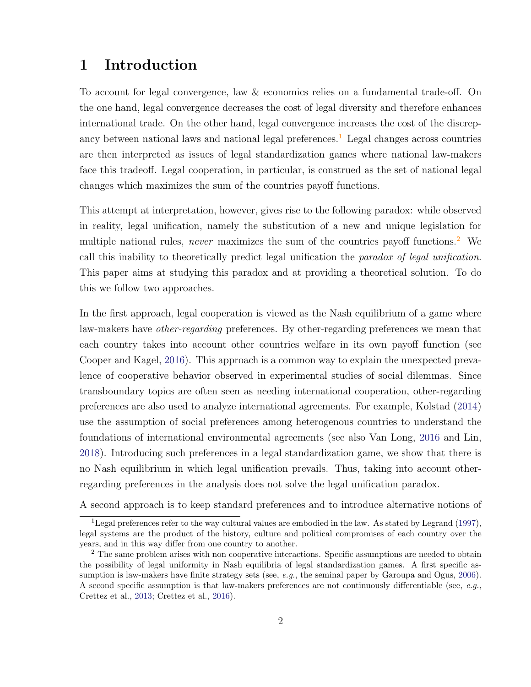## 1 Introduction

To account for legal convergence, law & economics relies on a fundamental trade-off. On the one hand, legal convergence decreases the cost of legal diversity and therefore enhances international trade. On the other hand, legal convergence increases the cost of the discrepancy between national laws and national legal preferences.<sup>1</sup> Legal changes across countries are then interpreted as issues of legal standardization games where national law-makers face this tradeoff. Legal cooperation, in particular, is construed as the set of national legal changes which maximizes the sum of the countries payoff functions.

This attempt at interpretation, however, gives rise to the following paradox: while observed in reality, legal unification, namely the substitution of a new and unique legislation for multiple national rules, never maximizes the sum of the countries payoff functions.<sup>2</sup> We call this inability to theoretically predict legal unification the paradox of legal unification. This paper aims at studying this paradox and at providing a theoretical solution. To do this we follow two approaches.

In the first approach, legal cooperation is viewed as the Nash equilibrium of a game where law-makers have *other-regarding* preferences. By other-regarding preferences we mean that each country takes into account other countries welfare in its own payoff function (see Cooper and Kagel, 2016). This approach is a common way to explain the unexpected prevalence of cooperative behavior observed in experimental studies of social dilemmas. Since transboundary topics are often seen as needing international cooperation, other-regarding preferences are also used to analyze international agreements. For example, Kolstad (2014) use the assumption of social preferences among heterogenous countries to understand the foundations of international environmental agreements (see also Van Long, 2016 and Lin, 2018). Introducing such preferences in a legal standardization game, we show that there is no Nash equilibrium in which legal unification prevails. Thus, taking into account otherregarding preferences in the analysis does not solve the legal unification paradox.

A second approach is to keep standard preferences and to introduce alternative notions of

<sup>&</sup>lt;sup>1</sup>Legal preferences refer to the way cultural values are embodied in the law. As stated by Legrand (1997), legal systems are the product of the history, culture and political compromises of each country over the years, and in this way differ from one country to another.

<sup>&</sup>lt;sup>2</sup> The same problem arises with non cooperative interactions. Specific assumptions are needed to obtain the possibility of legal uniformity in Nash equilibria of legal standardization games. A first specific assumption is law-makers have finite strategy sets (see, e.g., the seminal paper by Garoupa and Ogus,  $2006$ ). A second specific assumption is that law-makers preferences are not continuously differentiable (see,  $e.g.,$ Crettez et al., 2013; Crettez et al., 2016).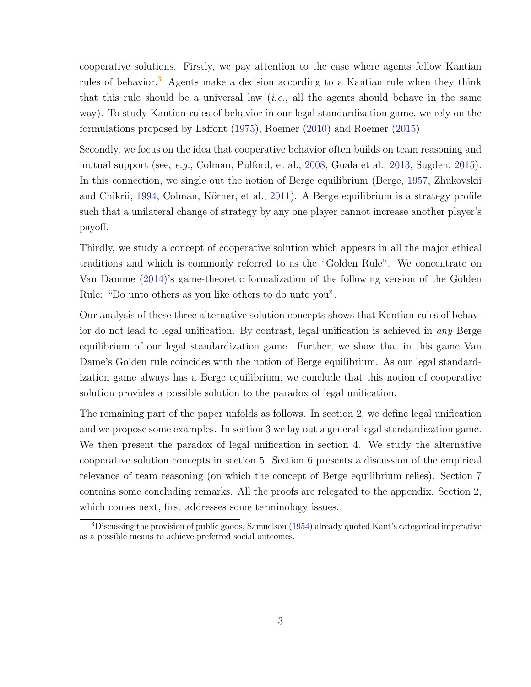cooperative solutions. Firstly, we pay attention to the case where agents follow Kantian rules of behavior.<sup>3</sup> Agents make a decision according to a Kantian rule when they think that this rule should be a universal law (*i.e.*, all the agents should behave in the same way). To study Kantian rules of behavior in our legal standardization game, we rely on the formulations proposed by Laffont (1975), Roemer (2010) and Roemer (2015)

Secondly, we focus on the idea that cooperative behavior often builds on team reasoning and mutual support (see, e.g., Colman, Pulford, et al., 2008, Guala et al., 2013, Sugden, 2015). In this connection, we single out the notion of Berge equilibrium (Berge, 1957, Zhukovskii and Chikrii, 1994, Colman, Körner, et al., 2011). A Berge equilibrium is a strategy profile such that a unilateral change of strategy by any one player cannot increase another player's payoff.

Thirdly, we study a concept of cooperative solution which appears in all the major ethical traditions and which is commonly referred to as the "Golden Rule". We concentrate on Van Damme (2014)'s game-theoretic formalization of the following version of the Golden Rule: "Do unto others as you like others to do unto you".

Our analysis of these three alternative solution concepts shows that Kantian rules of behavior do not lead to legal unification. By contrast, legal unification is achieved in any Berge equilibrium of our legal standardization game. Further, we show that in this game Van Dame's Golden rule coincides with the notion of Berge equilibrium. As our legal standardization game always has a Berge equilibrium, we conclude that this notion of cooperative solution provides a possible solution to the paradox of legal unification.

The remaining part of the paper unfolds as follows. In section 2, we define legal unification and we propose some examples. In section 3 we lay out a general legal standardization game. We then present the paradox of legal unification in section 4. We study the alternative cooperative solution concepts in section 5. Section 6 presents a discussion of the empirical relevance of team reasoning (on which the concept of Berge equilibrium relies). Section 7 contains some concluding remarks. All the proofs are relegated to the appendix. Section 2, which comes next, first addresses some terminology issues.

 $3$ Discussing the provision of public goods, Samuelson (1954) already quoted Kant's categorical imperative as a possible means to achieve preferred social outcomes.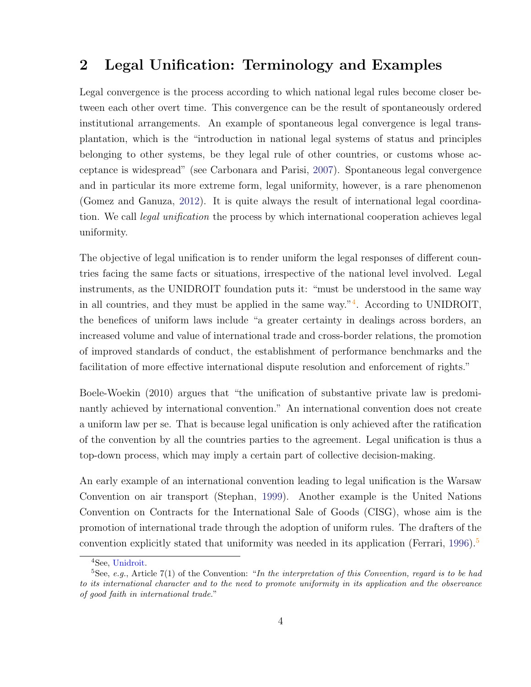## 2 Legal Unification: Terminology and Examples

Legal convergence is the process according to which national legal rules become closer between each other overt time. This convergence can be the result of spontaneously ordered institutional arrangements. An example of spontaneous legal convergence is legal transplantation, which is the "introduction in national legal systems of status and principles belonging to other systems, be they legal rule of other countries, or customs whose acceptance is widespread" (see Carbonara and Parisi, 2007). Spontaneous legal convergence and in particular its more extreme form, legal uniformity, however, is a rare phenomenon (Gomez and Ganuza, 2012). It is quite always the result of international legal coordination. We call *legal unification* the process by which international cooperation achieves legal uniformity.

The objective of legal unification is to render uniform the legal responses of different countries facing the same facts or situations, irrespective of the national level involved. Legal instruments, as the UNIDROIT foundation puts it: "must be understood in the same way in all countries, and they must be applied in the same way."<sup>4</sup> . According to UNIDROIT, the benefices of uniform laws include "a greater certainty in dealings across borders, an increased volume and value of international trade and cross-border relations, the promotion of improved standards of conduct, the establishment of performance benchmarks and the facilitation of more effective international dispute resolution and enforcement of rights."

Boele-Woekin (2010) argues that "the unification of substantive private law is predominantly achieved by international convention." An international convention does not create a uniform law per se. That is because legal unification is only achieved after the ratification of the convention by all the countries parties to the agreement. Legal unification is thus a top-down process, which may imply a certain part of collective decision-making.

An early example of an international convention leading to legal unification is the Warsaw Convention on air transport (Stephan, 1999). Another example is the United Nations Convention on Contracts for the International Sale of Goods (CISG), whose aim is the promotion of international trade through the adoption of uniform rules. The drafters of the convention explicitly stated that uniformity was needed in its application (Ferrari, 1996).<sup>5</sup>

<sup>4</sup>See, Unidroit.

<sup>&</sup>lt;sup>5</sup>See, e.g., Article 7(1) of the Convention: "In the interpretation of this Convention, regard is to be had to its international character and to the need to promote uniformity in its application and the observance of good faith in international trade."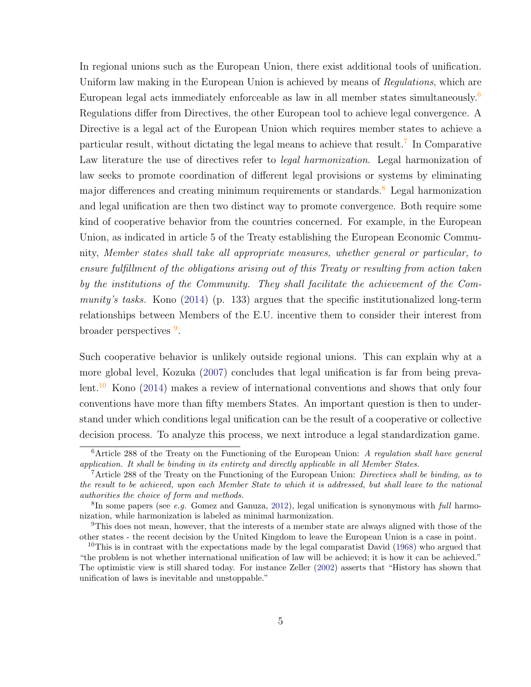In regional unions such as the European Union, there exist additional tools of unification. Uniform law making in the European Union is achieved by means of Regulations, which are European legal acts immediately enforceable as law in all member states simultaneously.<sup>6</sup> Regulations differ from Directives, the other European tool to achieve legal convergence. A Directive is a legal act of the European Union which requires member states to achieve a particular result, without dictating the legal means to achieve that result.<sup>7</sup> In Comparative Law literature the use of directives refer to legal harmonization. Legal harmonization of law seeks to promote coordination of different legal provisions or systems by eliminating major differences and creating minimum requirements or standards.<sup>8</sup> Legal harmonization and legal unification are then two distinct way to promote convergence. Both require some kind of cooperative behavior from the countries concerned. For example, in the European Union, as indicated in article 5 of the Treaty establishing the European Economic Community, Member states shall take all appropriate measures, whether general or particular, to ensure fulfillment of the obligations arising out of this Treaty or resulting from action taken by the institutions of the Community. They shall facilitate the achievement of the Community's tasks. Kono (2014) (p. 133) argues that the specific institutionalized long-term relationships between Members of the E.U. incentive them to consider their interest from broader perspectives  $9$ .

Such cooperative behavior is unlikely outside regional unions. This can explain why at a more global level, Kozuka (2007) concludes that legal unification is far from being prevalent.<sup>10</sup> Kono (2014) makes a review of international conventions and shows that only four conventions have more than fifty members States. An important question is then to understand under which conditions legal unification can be the result of a cooperative or collective decision process. To analyze this process, we next introduce a legal standardization game.

 $6$ Article 288 of the Treaty on the Functioning of the European Union: A regulation shall have general application. It shall be binding in its entirety and directly applicable in all Member States.

<sup>&</sup>lt;sup>7</sup>Article 288 of the Treaty on the Functioning of the European Union: *Directives shall be binding, as to* the result to be achieved, upon each Member State to which it is addressed, but shall leave to the national authorities the choice of form and methods.

 ${}^{8}$ In some papers (see *e.g.* Gomez and Ganuza, 2012), legal unification is synonymous with *full* harmonization, while harmonization is labeled as minimal harmonization.

<sup>9</sup>This does not mean, however, that the interests of a member state are always aligned with those of the other states - the recent decision by the United Kingdom to leave the European Union is a case in point.

<sup>&</sup>lt;sup>10</sup>This is in contrast with the expectations made by the legal comparatist David  $(1968)$  who argued that "the problem is not whether international unification of law will be achieved; it is how it can be achieved." The optimistic view is still shared today. For instance Zeller (2002) asserts that "History has shown that unification of laws is inevitable and unstoppable."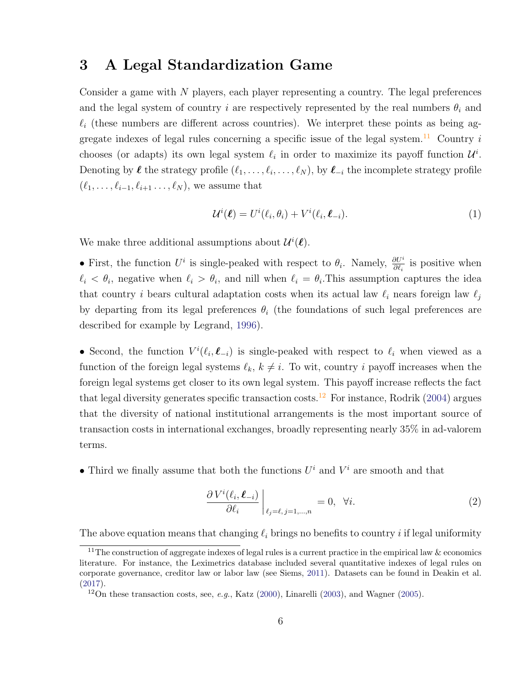## 3 A Legal Standardization Game

Consider a game with N players, each player representing a country. The legal preferences and the legal system of country i are respectively represented by the real numbers  $\theta_i$  and  $\ell_i$  (these numbers are different across countries). We interpret these points as being aggregate indexes of legal rules concerning a specific issue of the legal system.<sup>11</sup> Country i chooses (or adapts) its own legal system  $\ell_i$  in order to maximize its payoff function  $\mathcal{U}^i$ . Denoting by  $\ell$  the strategy profile  $(\ell_1, \ldots, \ell_i, \ldots, \ell_N)$ , by  $\ell_{-i}$  the incomplete strategy profile  $(\ell_1, \ldots, \ell_{i-1}, \ell_{i+1}, \ldots, \ell_N)$ , we assume that

$$
\mathcal{U}^i(\boldsymbol{\ell}) = U^i(\ell_i, \theta_i) + V^i(\ell_i, \boldsymbol{\ell}_{-i}).
$$
\n(1)

We make three additional assumptions about  $\mathcal{U}^i(\ell)$ .

• First, the function  $U^i$  is single-peaked with respect to  $\theta_i$ . Namely,  $\frac{\partial U^i}{\partial \ell_i}$  is positive when  $\ell_i < \theta_i$ , negative when  $\ell_i > \theta_i$ , and nill when  $\ell_i = \theta_i$ . This assumption captures the idea that country *i* bears cultural adaptation costs when its actual law  $\ell_i$  nears foreign law  $\ell_j$ by departing from its legal preferences  $\theta_i$  (the foundations of such legal preferences are described for example by Legrand, 1996).

• Second, the function  $V^i(\ell_i, \ell_{-i})$  is single-peaked with respect to  $\ell_i$  when viewed as a function of the foreign legal systems  $\ell_k, k \neq i$ . To wit, country i payoff increases when the foreign legal systems get closer to its own legal system. This payoff increase reflects the fact that legal diversity generates specific transaction costs.<sup>12</sup> For instance, Rodrik (2004) argues that the diversity of national institutional arrangements is the most important source of transaction costs in international exchanges, broadly representing nearly 35% in ad-valorem terms.

• Third we finally assume that both the functions  $U^i$  and  $V^i$  are smooth and that

$$
\left. \frac{\partial V^i(\ell_i, \ell_{-i})}{\partial \ell_i} \right|_{\ell_j = \ell, j = 1, \dots, n} = 0, \quad \forall i.
$$
\n(2)

The above equation means that changing  $\ell_i$  brings no benefits to country i if legal uniformity

<sup>&</sup>lt;sup>11</sup>The construction of aggregate indexes of legal rules is a current practice in the empirical law & economics literature. For instance, the Leximetrics database included several quantitative indexes of legal rules on corporate governance, creditor law or labor law (see Siems, 2011). Datasets can be found in Deakin et al. (2017).

<sup>&</sup>lt;sup>12</sup>On these transaction costs, see, *e.g.*, Katz  $(2000)$ , Linarelli  $(2003)$ , and Wagner  $(2005)$ .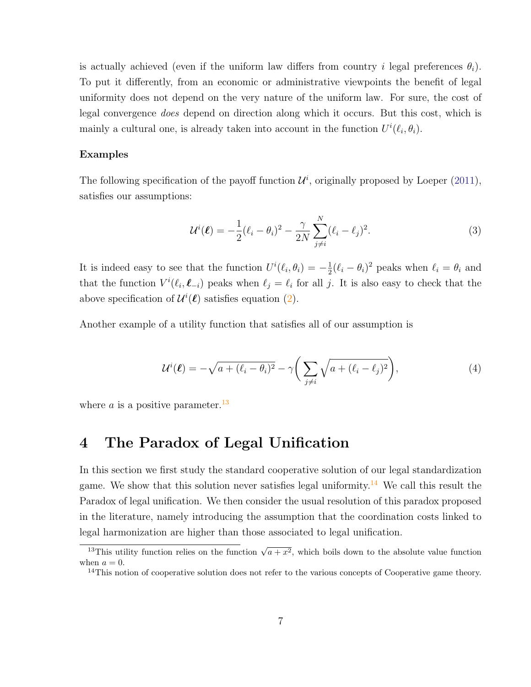is actually achieved (even if the uniform law differs from country i legal preferences  $\theta_i$ ). To put it differently, from an economic or administrative viewpoints the benefit of legal uniformity does not depend on the very nature of the uniform law. For sure, the cost of legal convergence does depend on direction along which it occurs. But this cost, which is mainly a cultural one, is already taken into account in the function  $U^{i}(\ell_i, \theta_i)$ .

#### Examples

The following specification of the payoff function  $\mathcal{U}^i$ , originally proposed by Loeper (2011), satisfies our assumptions:

$$
\mathcal{U}^{i}(\boldsymbol{\ell}) = -\frac{1}{2}(\ell_{i} - \theta_{i})^{2} - \frac{\gamma}{2N} \sum_{j \neq i}^{N} (\ell_{i} - \ell_{j})^{2}.
$$
 (3)

It is indeed easy to see that the function  $U^{i}(\ell_i, \theta_i) = -\frac{1}{2}$  $\frac{1}{2}(\ell_i - \theta_i)^2$  peaks when  $\ell_i = \theta_i$  and that the function  $V^i(\ell_i, \ell_{-i})$  peaks when  $\ell_j = \ell_i$  for all j. It is also easy to check that the above specification of  $\mathcal{U}^i(\ell)$  satisfies equation (2).

Another example of a utility function that satisfies all of our assumption is

$$
\mathcal{U}^{i}(\boldsymbol{\ell}) = -\sqrt{a + (\ell_i - \theta_i)^2} - \gamma \bigg(\sum_{j \neq i} \sqrt{a + (\ell_i - \ell_j)^2}\bigg),\tag{4}
$$

where a is a positive parameter.<sup>13</sup>

## 4 The Paradox of Legal Unification

In this section we first study the standard cooperative solution of our legal standardization game. We show that this solution never satisfies legal uniformity.<sup>14</sup> We call this result the Paradox of legal unification. We then consider the usual resolution of this paradox proposed in the literature, namely introducing the assumption that the coordination costs linked to legal harmonization are higher than those associated to legal unification.

<sup>&</sup>lt;sup>13</sup>This utility function relies on the function  $\sqrt{a+x^2}$ , which boils down to the absolute value function when  $a = 0$ .

 $14$ This notion of cooperative solution does not refer to the various concepts of Cooperative game theory.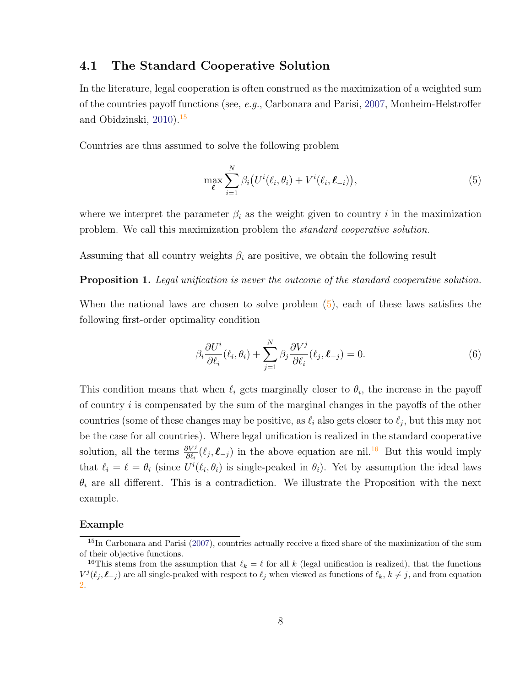### 4.1 The Standard Cooperative Solution

In the literature, legal cooperation is often construed as the maximization of a weighted sum of the countries payoff functions (see, e.g., Carbonara and Parisi, 2007, Monheim-Helstroffer and Obidzinski, 2010).<sup>15</sup>

Countries are thus assumed to solve the following problem

$$
\max_{\ell} \sum_{i=1}^{N} \beta_i \big( U^i(\ell_i, \theta_i) + V^i(\ell_i, \ell_{-i}) \big), \tag{5}
$$

where we interpret the parameter  $\beta_i$  as the weight given to country i in the maximization problem. We call this maximization problem the standard cooperative solution.

Assuming that all country weights  $\beta_i$  are positive, we obtain the following result

**Proposition 1.** Legal unification is never the outcome of the standard cooperative solution.

When the national laws are chosen to solve problem  $(5)$ , each of these laws satisfies the following first-order optimality condition

$$
\beta_i \frac{\partial U^i}{\partial \ell_i}(\ell_i, \theta_i) + \sum_{j=1}^N \beta_j \frac{\partial V^j}{\partial \ell_i}(\ell_j, \ell_{-j}) = 0.
$$
\n(6)

This condition means that when  $\ell_i$  gets marginally closer to  $\theta_i$ , the increase in the payoff of country  $i$  is compensated by the sum of the marginal changes in the payoffs of the other countries (some of these changes may be positive, as  $\ell_i$  also gets closer to  $\ell_j$ , but this may not be the case for all countries). Where legal unification is realized in the standard cooperative solution, all the terms  $\frac{\partial V^j}{\partial \ell_i}(\ell_j, \ell_{-j})$  in the above equation are nil.<sup>16</sup> But this would imply that  $\ell_i = \ell = \theta_i$  (since  $U^i(\ell_i, \theta_i)$  is single-peaked in  $\theta_i$ ). Yet by assumption the ideal laws  $\theta_i$  are all different. This is a contradiction. We illustrate the Proposition with the next example.

#### Example

<sup>&</sup>lt;sup>15</sup>In Carbonara and Parisi (2007), countries actually receive a fixed share of the maximization of the sum of their objective functions.

<sup>&</sup>lt;sup>16</sup>This stems from the assumption that  $\ell_k = \ell$  for all k (legal unification is realized), that the functions  $V^j(\ell_j, \ell_{-j})$  are all single-peaked with respect to  $\ell_j$  when viewed as functions of  $\ell_k, k \neq j$ , and from equation 2.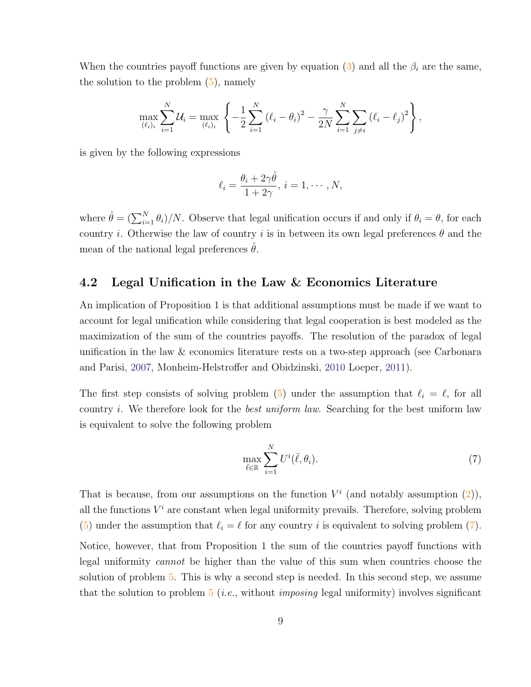When the countries payoff functions are given by equation (3) and all the  $\beta_i$  are the same, the solution to the problem  $(5)$ , namely

$$
\max_{(\ell_i)_i} \sum_{i=1}^N \mathcal{U}_i = \max_{(\ell_i)_i} \left\{ -\frac{1}{2} \sum_{i=1}^N (\ell_i - \theta_i)^2 - \frac{\gamma}{2N} \sum_{i=1}^N \sum_{j \neq i} (\ell_i - \ell_j)^2 \right\},
$$

is given by the following expressions

$$
\ell_i = \frac{\theta_i + 2\gamma\hat{\theta}}{1 + 2\gamma}, \, i = 1, \cdots, N,
$$

where  $\hat{\theta} = (\sum_{i=1}^{N} \theta_i)/N$ . Observe that legal unification occurs if and only if  $\theta_i = \theta$ , for each country i. Otherwise the law of country i is in between its own legal preferences  $\theta$  and the mean of the national legal preferences  $\theta$ .

### 4.2 Legal Unification in the Law & Economics Literature

An implication of Proposition 1 is that additional assumptions must be made if we want to account for legal unification while considering that legal cooperation is best modeled as the maximization of the sum of the countries payoffs. The resolution of the paradox of legal unification in the law & economics literature rests on a two-step approach (see Carbonara and Parisi, 2007, Monheim-Helstroffer and Obidzinski, 2010 Loeper, 2011).

The first step consists of solving problem (5) under the assumption that  $\ell_i = \ell$ , for all country *i*. We therefore look for the *best uniform law*. Searching for the best uniform law is equivalent to solve the following problem

$$
\max_{\bar{\ell} \in \mathbb{R}} \sum_{i=1}^{N} U^i(\bar{\ell}, \theta_i). \tag{7}
$$

That is because, from our assumptions on the function  $V^i$  (and notably assumption  $(2)$ ), all the functions  $V^i$  are constant when legal uniformity prevails. Therefore, solving problem (5) under the assumption that  $\ell_i = \ell$  for any country i is equivalent to solving problem (7).

Notice, however, that from Proposition 1 the sum of the countries payoff functions with legal uniformity cannot be higher than the value of this sum when countries choose the solution of problem 5. This is why a second step is needed. In this second step, we assume that the solution to problem  $5$  (*i.e.*, without *imposing* legal uniformity) involves significant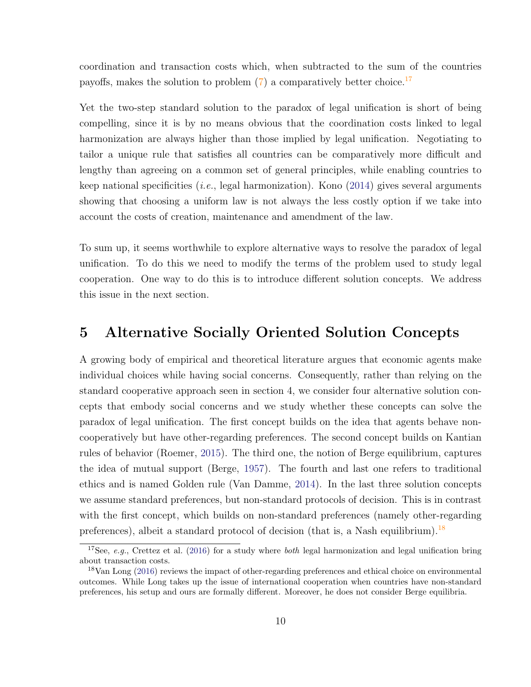coordination and transaction costs which, when subtracted to the sum of the countries payoffs, makes the solution to problem  $(7)$  a comparatively better choice.<sup>17</sup>

Yet the two-step standard solution to the paradox of legal unification is short of being compelling, since it is by no means obvious that the coordination costs linked to legal harmonization are always higher than those implied by legal unification. Negotiating to tailor a unique rule that satisfies all countries can be comparatively more difficult and lengthy than agreeing on a common set of general principles, while enabling countries to keep national specificities (*i.e.*, legal harmonization). Kono  $(2014)$  gives several arguments showing that choosing a uniform law is not always the less costly option if we take into account the costs of creation, maintenance and amendment of the law.

To sum up, it seems worthwhile to explore alternative ways to resolve the paradox of legal unification. To do this we need to modify the terms of the problem used to study legal cooperation. One way to do this is to introduce different solution concepts. We address this issue in the next section.

## 5 Alternative Socially Oriented Solution Concepts

A growing body of empirical and theoretical literature argues that economic agents make individual choices while having social concerns. Consequently, rather than relying on the standard cooperative approach seen in section 4, we consider four alternative solution concepts that embody social concerns and we study whether these concepts can solve the paradox of legal unification. The first concept builds on the idea that agents behave noncooperatively but have other-regarding preferences. The second concept builds on Kantian rules of behavior (Roemer, 2015). The third one, the notion of Berge equilibrium, captures the idea of mutual support (Berge, 1957). The fourth and last one refers to traditional ethics and is named Golden rule (Van Damme, 2014). In the last three solution concepts we assume standard preferences, but non-standard protocols of decision. This is in contrast with the first concept, which builds on non-standard preferences (namely other-regarding preferences), albeit a standard protocol of decision (that is, a Nash equilibrium).<sup>18</sup>

<sup>&</sup>lt;sup>17</sup>See, e.g., Crettez et al. (2016) for a study where *both* legal harmonization and legal unification bring about transaction costs.

<sup>18</sup>Van Long (2016) reviews the impact of other-regarding preferences and ethical choice on environmental outcomes. While Long takes up the issue of international cooperation when countries have non-standard preferences, his setup and ours are formally different. Moreover, he does not consider Berge equilibria.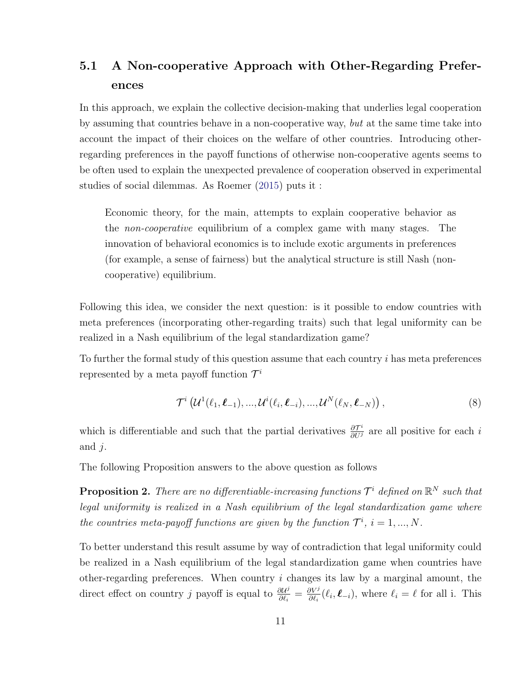## 5.1 A Non-cooperative Approach with Other-Regarding Preferences

In this approach, we explain the collective decision-making that underlies legal cooperation by assuming that countries behave in a non-cooperative way, but at the same time take into account the impact of their choices on the welfare of other countries. Introducing otherregarding preferences in the payoff functions of otherwise non-cooperative agents seems to be often used to explain the unexpected prevalence of cooperation observed in experimental studies of social dilemmas. As Roemer (2015) puts it :

Economic theory, for the main, attempts to explain cooperative behavior as the non-cooperative equilibrium of a complex game with many stages. The innovation of behavioral economics is to include exotic arguments in preferences (for example, a sense of fairness) but the analytical structure is still Nash (noncooperative) equilibrium.

Following this idea, we consider the next question: is it possible to endow countries with meta preferences (incorporating other-regarding traits) such that legal uniformity can be realized in a Nash equilibrium of the legal standardization game?

To further the formal study of this question assume that each country i has meta preferences represented by a meta payoff function  $\mathcal{T}^i$ 

$$
\mathcal{T}^i\left(\mathcal{U}^1(\ell_1,\boldsymbol{\ell}_{-1}),...,\mathcal{U}^i(\ell_i,\boldsymbol{\ell}_{-i}),...,\mathcal{U}^N(\ell_N,\boldsymbol{\ell}_{-N})\right),\tag{8}
$$

which is differentiable and such that the partial derivatives  $\frac{\partial \mathcal{T}^i}{\partial U^j}$  are all positive for each *i* and  $j$ .

The following Proposition answers to the above question as follows

**Proposition 2.** There are no differentiable-increasing functions  $\mathcal{T}^i$  defined on  $\mathbb{R}^N$  such that legal uniformity is realized in a Nash equilibrium of the legal standardization game where the countries meta-payoff functions are given by the function  $\mathcal{T}^i$ ,  $i = 1, ..., N$ .

To better understand this result assume by way of contradiction that legal uniformity could be realized in a Nash equilibrium of the legal standardization game when countries have other-regarding preferences. When country  $i$  changes its law by a marginal amount, the direct effect on country j payoff is equal to  $\frac{\partial U^j}{\partial \ell}$  $\frac{\partial U^j}{\partial \ell_i} = \frac{\partial V^j}{\partial \ell_i}$  $\frac{\partial V^j}{\partial \ell_i}(\ell_i, \ell_{-i}),$  where  $\ell_i = \ell$  for all i. This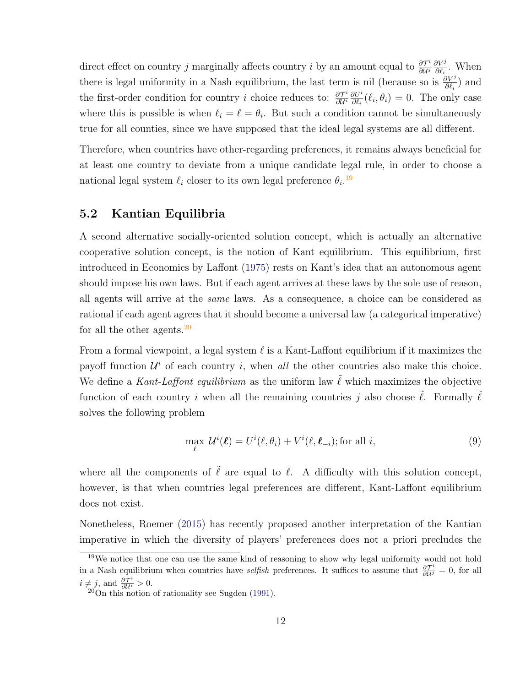direct effect on country j marginally affects country i by an amount equal to  $\frac{\partial \mathcal{T}^i}{\partial \mathcal{U}^j}$ ∂U<sup>j</sup>  $\partial V^j$  $\frac{\partial V^j}{\partial \ell_i}$ . When there is legal uniformity in a Nash equilibrium, the last term is nil (because so is  $\frac{\partial V^j}{\partial \ell_i}$ ) and the first-order condition for country i choice reduces to:  $\frac{\partial \mathcal{T}^i}{\partial U^i}$  $\overline{\partial \mathcal{U}^i}$  $\partial U^i$  $\frac{\partial U^i}{\partial \ell_i}(\ell_i, \theta_i) = 0$ . The only case where this is possible is when  $\ell_i = \ell = \theta_i$ . But such a condition cannot be simultaneously true for all counties, since we have supposed that the ideal legal systems are all different.

Therefore, when countries have other-regarding preferences, it remains always beneficial for at least one country to deviate from a unique candidate legal rule, in order to choose a national legal system  $\ell_i$  closer to its own legal preference  $\theta_i$ .<sup>19</sup>

### 5.2 Kantian Equilibria

A second alternative socially-oriented solution concept, which is actually an alternative cooperative solution concept, is the notion of Kant equilibrium. This equilibrium, first introduced in Economics by Laffont (1975) rests on Kant's idea that an autonomous agent should impose his own laws. But if each agent arrives at these laws by the sole use of reason, all agents will arrive at the same laws. As a consequence, a choice can be considered as rational if each agent agrees that it should become a universal law (a categorical imperative) for all the other agents. $^{20}$ 

From a formal viewpoint, a legal system  $\ell$  is a Kant-Laffont equilibrium if it maximizes the payoff function  $\mathcal{U}^i$  of each country i, when all the other countries also make this choice. We define a Kant-Laffont equilibrium as the uniform law  $\tilde{\ell}$  which maximizes the objective function of each country i when all the remaining countries j also choose  $\ell$ . Formally  $\ell$ solves the following problem

$$
\max_{\ell} \, \mathcal{U}^{i}(\ell) = U^{i}(\ell, \theta_{i}) + V^{i}(\ell, \ell_{-i}); \text{for all } i,
$$
\n<sup>(9)</sup>

where all the components of  $\tilde{\ell}$  are equal to  $\ell$ . A difficulty with this solution concept, however, is that when countries legal preferences are different, Kant-Laffont equilibrium does not exist.

Nonetheless, Roemer (2015) has recently proposed another interpretation of the Kantian imperative in which the diversity of players' preferences does not a priori precludes the

 $19$ We notice that one can use the same kind of reasoning to show why legal uniformity would not hold in a Nash equilibrium when countries have *selfish* preferences. It suffices to assume that  $\frac{\partial \mathcal{T}^i}{\partial \mathcal{U}^j} = 0$ , for all  $i \neq j$ , and  $\frac{\partial \mathcal{T}^i}{\partial \mathcal{U}^i} > 0$ .<br><sup>20</sup>On this notion of rationality see Sugden (1991).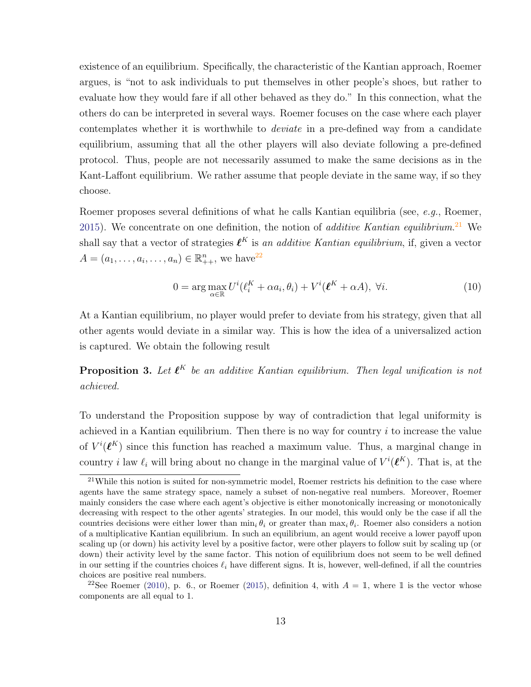existence of an equilibrium. Specifically, the characteristic of the Kantian approach, Roemer argues, is "not to ask individuals to put themselves in other people's shoes, but rather to evaluate how they would fare if all other behaved as they do." In this connection, what the others do can be interpreted in several ways. Roemer focuses on the case where each player contemplates whether it is worthwhile to *deviate* in a pre-defined way from a candidate equilibrium, assuming that all the other players will also deviate following a pre-defined protocol. Thus, people are not necessarily assumed to make the same decisions as in the Kant-Laffont equilibrium. We rather assume that people deviate in the same way, if so they choose.

Roemer proposes several definitions of what he calls Kantian equilibria (see, e.g., Roemer, 2015). We concentrate on one definition, the notion of *additive Kantian equilibrium*.<sup>21</sup> We shall say that a vector of strategies  $\ell^K$  is an additive Kantian equilibrium, if, given a vector  $A = (a_1, \dots, a_i, \dots, a_n) \in \mathbb{R}_{++}^n$ , we have<sup>22</sup>

$$
0 = \arg \max_{\alpha \in \mathbb{R}} U^i(\ell_i^K + \alpha a_i, \theta_i) + V^i(\boldsymbol{\ell}^K + \alpha A), \ \forall i.
$$
 (10)

At a Kantian equilibrium, no player would prefer to deviate from his strategy, given that all other agents would deviate in a similar way. This is how the idea of a universalized action is captured. We obtain the following result

**Proposition 3.** Let  $\ell^K$  be an additive Kantian equilibrium. Then legal unification is not achieved.

To understand the Proposition suppose by way of contradiction that legal uniformity is achieved in a Kantian equilibrium. Then there is no way for country  $i$  to increase the value of  $V^i(\ell^K)$  since this function has reached a maximum value. Thus, a marginal change in country *i* law  $\ell_i$  will bring about no change in the marginal value of  $V^i(\ell^K)$ . That is, at the

<sup>&</sup>lt;sup>21</sup>While this notion is suited for non-symmetric model, Roemer restricts his definition to the case where agents have the same strategy space, namely a subset of non-negative real numbers. Moreover, Roemer mainly considers the case where each agent's objective is either monotonically increasing or monotonically decreasing with respect to the other agents' strategies. In our model, this would only be the case if all the countries decisions were either lower than  $\min_i \theta_i$  or greater than  $\max_i \theta_i$ . Roemer also considers a notion of a multiplicative Kantian equilibrium. In such an equilibrium, an agent would receive a lower payoff upon scaling up (or down) his activity level by a positive factor, were other players to follow suit by scaling up (or down) their activity level by the same factor. This notion of equilibrium does not seem to be well defined in our setting if the countries choices  $\ell_i$  have different signs. It is, however, well-defined, if all the countries choices are positive real numbers.

<sup>&</sup>lt;sup>22</sup>See Roemer (2010), p. 6., or Roemer (2015), definition 4, with  $A = \mathbb{1}$ , where  $\mathbb{1}$  is the vector whose components are all equal to 1.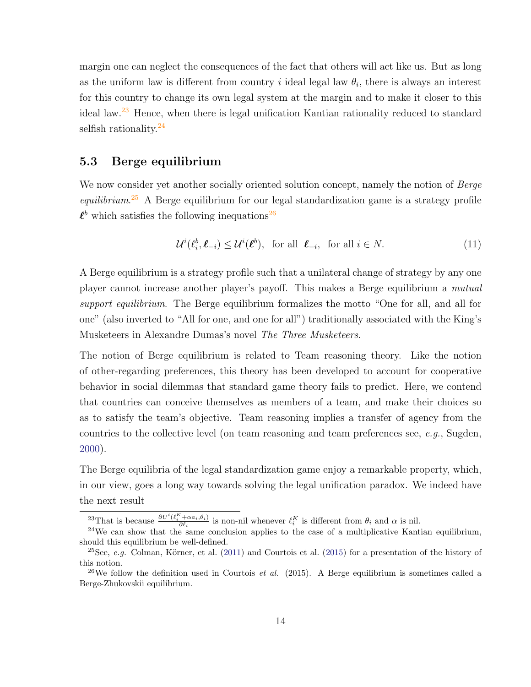margin one can neglect the consequences of the fact that others will act like us. But as long as the uniform law is different from country i ideal legal law  $\theta_i$ , there is always an interest for this country to change its own legal system at the margin and to make it closer to this ideal law.<sup>23</sup> Hence, when there is legal unification Kantian rationality reduced to standard selfish rationality.<sup>24</sup>

### 5.3 Berge equilibrium

We now consider yet another socially oriented solution concept, namely the notion of Berge equilibrium.<sup>25</sup> A Berge equilibrium for our legal standardization game is a strategy profile  $\ell^b$  which satisfies the following inequations<sup>26</sup>

$$
\mathcal{U}^i(\ell_i^b, \ell_{-i}) \le \mathcal{U}^i(\ell^b), \text{ for all } \ell_{-i}, \text{ for all } i \in \mathbb{N}.
$$
 (11)

A Berge equilibrium is a strategy profile such that a unilateral change of strategy by any one player cannot increase another player's payoff. This makes a Berge equilibrium a mutual support equilibrium. The Berge equilibrium formalizes the motto "One for all, and all for one" (also inverted to "All for one, and one for all") traditionally associated with the King's Musketeers in Alexandre Dumas's novel The Three Musketeers.

The notion of Berge equilibrium is related to Team reasoning theory. Like the notion of other-regarding preferences, this theory has been developed to account for cooperative behavior in social dilemmas that standard game theory fails to predict. Here, we contend that countries can conceive themselves as members of a team, and make their choices so as to satisfy the team's objective. Team reasoning implies a transfer of agency from the countries to the collective level (on team reasoning and team preferences see,  $e, q, S$ ugden, 2000).

The Berge equilibria of the legal standardization game enjoy a remarkable property, which, in our view, goes a long way towards solving the legal unification paradox. We indeed have the next result

<sup>&</sup>lt;sup>23</sup>That is because  $\frac{\partial U^i(\ell_i^K + \alpha a_i, \theta_i)}{\partial \ell_i}$  is non-nil whenever  $\ell_i^K$  is different from  $\theta_i$  and  $\alpha$  is nil.

 $24$ We can show that the same conclusion applies to the case of a multiplicative Kantian equilibrium, should this equilibrium be well-defined.

<sup>&</sup>lt;sup>25</sup>See, *e.g.* Colman, Körner, et al. (2011) and Courtois et al. (2015) for a presentation of the history of this notion.

<sup>&</sup>lt;sup>26</sup>We follow the definition used in Courtois *et al.* (2015). A Berge equilibrium is sometimes called a Berge-Zhukovskii equilibrium.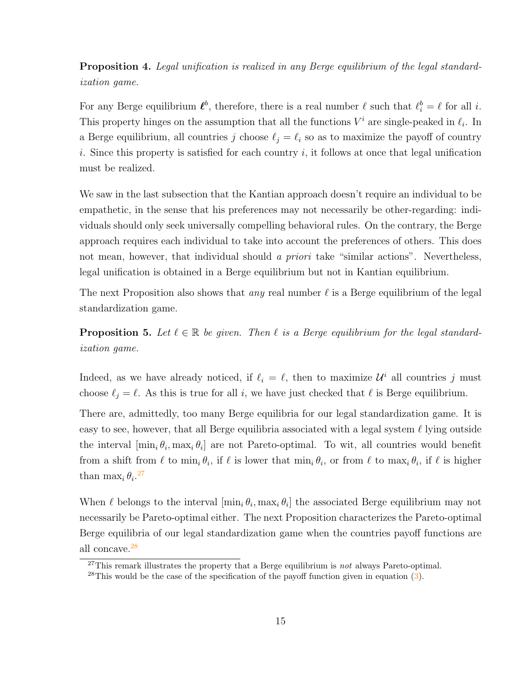Proposition 4. Legal unification is realized in any Berge equilibrium of the legal standardization game.

For any Berge equilibrium  $\ell^b$ , therefore, there is a real number  $\ell$  such that  $\ell_i^b = \ell$  for all i. This property hinges on the assumption that all the functions  $V^i$  are single-peaked in  $\ell_i$ . In a Berge equilibrium, all countries j choose  $\ell_j = \ell_i$  so as to maximize the payoff of country i. Since this property is satisfied for each country i, it follows at once that legal unification must be realized.

We saw in the last subsection that the Kantian approach doesn't require an individual to be empathetic, in the sense that his preferences may not necessarily be other-regarding: individuals should only seek universally compelling behavioral rules. On the contrary, the Berge approach requires each individual to take into account the preferences of others. This does not mean, however, that individual should a priori take "similar actions". Nevertheless, legal unification is obtained in a Berge equilibrium but not in Kantian equilibrium.

The next Proposition also shows that *any* real number  $\ell$  is a Berge equilibrium of the legal standardization game.

**Proposition 5.** Let  $\ell \in \mathbb{R}$  be given. Then  $\ell$  is a Berge equilibrium for the legal standardization game.

Indeed, as we have already noticed, if  $\ell_i = \ell$ , then to maximize  $\mathcal{U}^i$  all countries j must choose  $\ell_j = \ell$ . As this is true for all i, we have just checked that  $\ell$  is Berge equilibrium.

There are, admittedly, too many Berge equilibria for our legal standardization game. It is easy to see, however, that all Berge equilibria associated with a legal system  $\ell$  lying outside the interval  $[\min_i \theta_i, \max_i \theta_i]$  are not Pareto-optimal. To wit, all countries would benefit from a shift from  $\ell$  to  $\min_i \theta_i$ , if  $\ell$  is lower that  $\min_i \theta_i$ , or from  $\ell$  to  $\max_i \theta_i$ , if  $\ell$  is higher than  $\max_i \theta_i$ <sup>27</sup>

When  $\ell$  belongs to the interval  $[\min_i \theta_i, \max_i \theta_i]$  the associated Berge equilibrium may not necessarily be Pareto-optimal either. The next Proposition characterizes the Pareto-optimal Berge equilibria of our legal standardization game when the countries payoff functions are all concave.<sup>28</sup>

<sup>&</sup>lt;sup>27</sup>This remark illustrates the property that a Berge equilibrium is *not* always Pareto-optimal.

<sup>&</sup>lt;sup>28</sup>This would be the case of the specification of the payoff function given in equation  $(3)$ .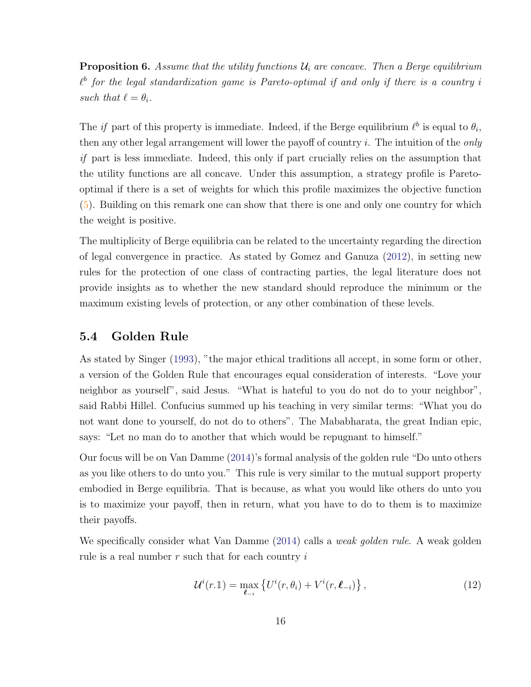**Proposition 6.** Assume that the utility functions  $\mathcal{U}_i$  are concave. Then a Berge equilibrium  $\ell^b$  for the legal standardization game is Pareto-optimal if and only if there is a country i such that  $\ell = \theta_i$ .

The *if* part of this property is immediate. Indeed, if the Berge equilibrium  $\ell^b$  is equal to  $\theta_i$ , then any other legal arrangement will lower the payoff of country  $i$ . The intuition of the *only* if part is less immediate. Indeed, this only if part crucially relies on the assumption that the utility functions are all concave. Under this assumption, a strategy profile is Paretooptimal if there is a set of weights for which this profile maximizes the objective function (5). Building on this remark one can show that there is one and only one country for which the weight is positive.

The multiplicity of Berge equilibria can be related to the uncertainty regarding the direction of legal convergence in practice. As stated by Gomez and Ganuza (2012), in setting new rules for the protection of one class of contracting parties, the legal literature does not provide insights as to whether the new standard should reproduce the minimum or the maximum existing levels of protection, or any other combination of these levels.

### 5.4 Golden Rule

As stated by Singer (1993), "the major ethical traditions all accept, in some form or other, a version of the Golden Rule that encourages equal consideration of interests. "Love your neighbor as yourself", said Jesus. "What is hateful to you do not do to your neighbor", said Rabbi Hillel. Confucius summed up his teaching in very similar terms: "What you do not want done to yourself, do not do to others". The Mababharata, the great Indian epic, says: "Let no man do to another that which would be repugnant to himself."

Our focus will be on Van Damme (2014)'s formal analysis of the golden rule "Do unto others as you like others to do unto you." This rule is very similar to the mutual support property embodied in Berge equilibria. That is because, as what you would like others do unto you is to maximize your payoff, then in return, what you have to do to them is to maximize their payoffs.

We specifically consider what Van Damme (2014) calls a *weak golden rule*. A weak golden rule is a real number  $r$  such that for each country  $i$ 

$$
\mathcal{U}^{i}(r.\mathbb{1}) = \max_{\ell_{-i}} \left\{ U^{i}(r,\theta_{i}) + V^{i}(r,\ell_{-i}) \right\},\tag{12}
$$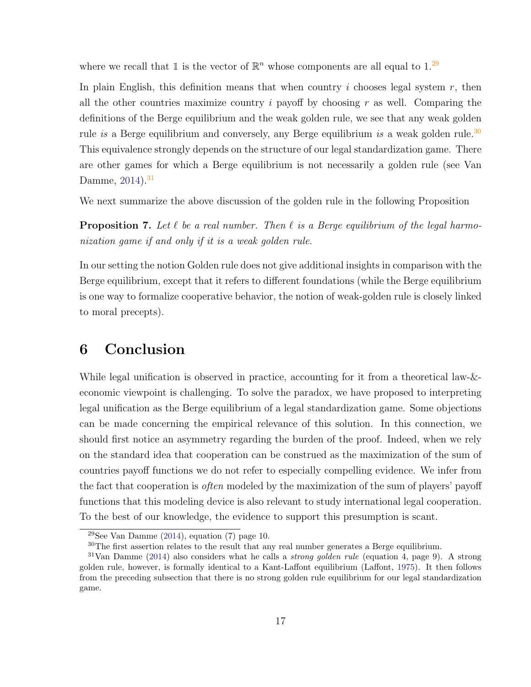where we recall that 1 is the vector of  $\mathbb{R}^n$  whose components are all equal to 1.<sup>29</sup>

In plain English, this definition means that when country i chooses legal system  $r$ , then all the other countries maximize country i payoff by choosing r as well. Comparing the definitions of the Berge equilibrium and the weak golden rule, we see that any weak golden rule is a Berge equilibrium and conversely, any Berge equilibrium is a weak golden rule.<sup>30</sup> This equivalence strongly depends on the structure of our legal standardization game. There are other games for which a Berge equilibrium is not necessarily a golden rule (see Van Damme,  $2014$ ).<sup>31</sup>

We next summarize the above discussion of the golden rule in the following Proposition

**Proposition 7.** Let  $\ell$  be a real number. Then  $\ell$  is a Berge equilibrium of the legal harmonization game if and only if it is a weak golden rule.

In our setting the notion Golden rule does not give additional insights in comparison with the Berge equilibrium, except that it refers to different foundations (while the Berge equilibrium is one way to formalize cooperative behavior, the notion of weak-golden rule is closely linked to moral precepts).

## 6 Conclusion

While legal unification is observed in practice, accounting for it from a theoretical law-&economic viewpoint is challenging. To solve the paradox, we have proposed to interpreting legal unification as the Berge equilibrium of a legal standardization game. Some objections can be made concerning the empirical relevance of this solution. In this connection, we should first notice an asymmetry regarding the burden of the proof. Indeed, when we rely on the standard idea that cooperation can be construed as the maximization of the sum of countries payoff functions we do not refer to especially compelling evidence. We infer from the fact that cooperation is often modeled by the maximization of the sum of players' payoff functions that this modeling device is also relevant to study international legal cooperation. To the best of our knowledge, the evidence to support this presumption is scant.

<sup>&</sup>lt;sup>29</sup>See Van Damme (2014), equation (7) page 10.

<sup>&</sup>lt;sup>30</sup>The first assertion relates to the result that any real number generates a Berge equilibrium.

 $31$ Van Damme (2014) also considers what he calls a *strong golden rule* (equation 4, page 9). A strong golden rule, however, is formally identical to a Kant-Laffont equilibrium (Laffont, 1975). It then follows from the preceding subsection that there is no strong golden rule equilibrium for our legal standardization game.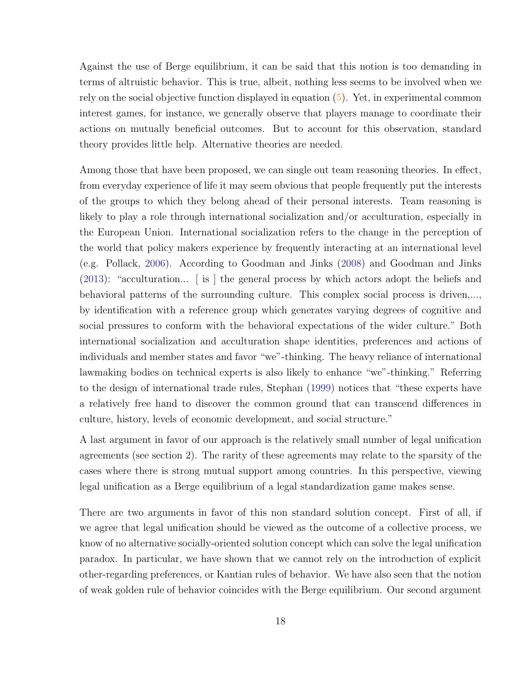Against the use of Berge equilibrium, it can be said that this notion is too demanding in terms of altruistic behavior. This is true, albeit, nothing less seems to be involved when we rely on the social objective function displayed in equation (5). Yet, in experimental common interest games, for instance, we generally observe that players manage to coordinate their actions on mutually beneficial outcomes. But to account for this observation, standard theory provides little help. Alternative theories are needed.

Among those that have been proposed, we can single out team reasoning theories. In effect, from everyday experience of life it may seem obvious that people frequently put the interests of the groups to which they belong ahead of their personal interests. Team reasoning is likely to play a role through international socialization and/or acculturation, especially in the European Union. International socialization refers to the change in the perception of the world that policy makers experience by frequently interacting at an international level (e.g. Pollack, 2006). According to Goodman and Jinks (2008) and Goodman and Jinks (2013): "acculturation... [ is ] the general process by which actors adopt the beliefs and behavioral patterns of the surrounding culture. This complex social process is driven,..., by identification with a reference group which generates varying degrees of cognitive and social pressures to conform with the behavioral expectations of the wider culture." Both international socialization and acculturation shape identities, preferences and actions of individuals and member states and favor "we"-thinking. The heavy reliance of international lawmaking bodies on technical experts is also likely to enhance "we"-thinking." Referring to the design of international trade rules, Stephan (1999) notices that "these experts have a relatively free hand to discover the common ground that can transcend differences in culture, history, levels of economic development, and social structure."

A last argument in favor of our approach is the relatively small number of legal unification agreements (see section 2). The rarity of these agreements may relate to the sparsity of the cases where there is strong mutual support among countries. In this perspective, viewing legal unification as a Berge equilibrium of a legal standardization game makes sense.

There are two arguments in favor of this non standard solution concept. First of all, if we agree that legal unification should be viewed as the outcome of a collective process, we know of no alternative socially-oriented solution concept which can solve the legal unification paradox. In particular, we have shown that we cannot rely on the introduction of explicit other-regarding preferences, or Kantian rules of behavior. We have also seen that the notion of weak golden rule of behavior coincides with the Berge equilibrium. Our second argument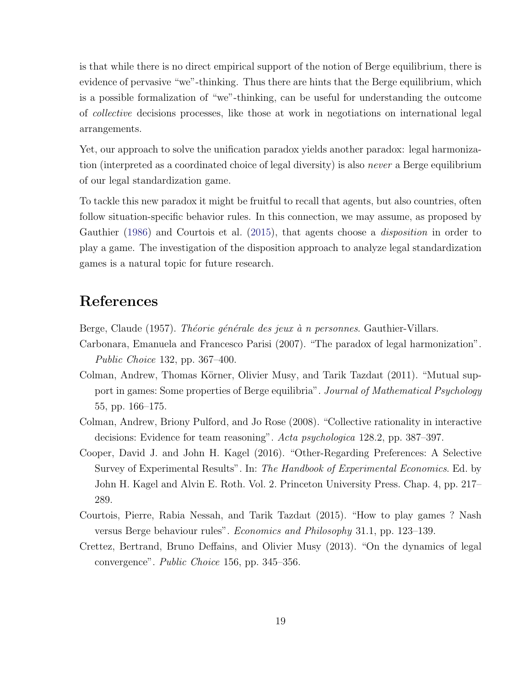is that while there is no direct empirical support of the notion of Berge equilibrium, there is evidence of pervasive "we"-thinking. Thus there are hints that the Berge equilibrium, which is a possible formalization of "we"-thinking, can be useful for understanding the outcome of collective decisions processes, like those at work in negotiations on international legal arrangements.

Yet, our approach to solve the unification paradox yields another paradox: legal harmonization (interpreted as a coordinated choice of legal diversity) is also *never* a Berge equilibrium of our legal standardization game.

To tackle this new paradox it might be fruitful to recall that agents, but also countries, often follow situation-specific behavior rules. In this connection, we may assume, as proposed by Gauthier (1986) and Courtois et al. (2015), that agents choose a disposition in order to play a game. The investigation of the disposition approach to analyze legal standardization games is a natural topic for future research.

## References

Berge, Claude (1957). Théorie générale des jeux à n personnes. Gauthier-Villars.

- Carbonara, Emanuela and Francesco Parisi (2007). "The paradox of legal harmonization". Public Choice 132, pp. 367–400.
- Colman, Andrew, Thomas Körner, Olivier Musy, and Tarik Tazdait (2011). "Mutual support in games: Some properties of Berge equilibria". Journal of Mathematical Psychology 55, pp. 166–175.
- Colman, Andrew, Briony Pulford, and Jo Rose (2008). "Collective rationality in interactive decisions: Evidence for team reasoning". Acta psychologica 128.2, pp. 387–397.
- Cooper, David J. and John H. Kagel (2016). "Other-Regarding Preferences: A Selective Survey of Experimental Results". In: The Handbook of Experimental Economics. Ed. by John H. Kagel and Alvin E. Roth. Vol. 2. Princeton University Press. Chap. 4, pp. 217– 289.
- Courtois, Pierre, Rabia Nessah, and Tarik Tazdaıt (2015). "How to play games ? Nash versus Berge behaviour rules". Economics and Philosophy 31.1, pp. 123–139.
- Crettez, Bertrand, Bruno Deffains, and Olivier Musy (2013). "On the dynamics of legal convergence". Public Choice 156, pp. 345–356.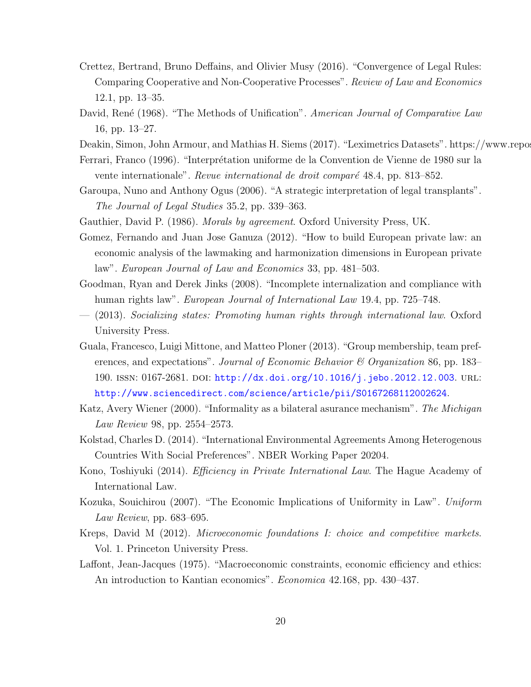- Crettez, Bertrand, Bruno Deffains, and Olivier Musy (2016). "Convergence of Legal Rules: Comparing Cooperative and Non-Cooperative Processes". Review of Law and Economics 12.1, pp. 13–35.
- David, René (1968). "The Methods of Unification". American Journal of Comparative Law 16, pp. 13–27.
- Deakin, Simon, John Armour, and Mathias H. Siems (2017). "Leximetrics Datasets". https://www.repos
- Ferrari, Franco (1996). "Interprétation uniforme de la Convention de Vienne de 1980 sur la vente internationale". Revue international de droit comparé 48.4, pp. 813–852.
- Garoupa, Nuno and Anthony Ogus (2006). "A strategic interpretation of legal transplants". The Journal of Legal Studies 35.2, pp. 339–363.
- Gauthier, David P. (1986). Morals by agreement. Oxford University Press, UK.
- Gomez, Fernando and Juan Jose Ganuza (2012). "How to build European private law: an economic analysis of the lawmaking and harmonization dimensions in European private law". European Journal of Law and Economics 33, pp. 481–503.
- Goodman, Ryan and Derek Jinks (2008). "Incomplete internalization and compliance with human rights law". *European Journal of International Law* 19.4, pp. 725–748.
- (2013). Socializing states: Promoting human rights through international law. Oxford University Press.
- Guala, Francesco, Luigi Mittone, and Matteo Ploner (2013). "Group membership, team preferences, and expectations". Journal of Economic Behavior & Organization 86, pp. 183– 190. ISSN: 0167-2681. DOI: http://dx.doi.org/10.1016/j.jebo.2012.12.003. URL: http://www.sciencedirect.com/science/article/pii/S0167268112002624.
- Katz, Avery Wiener (2000). "Informality as a bilateral asurance mechanism". The Michigan Law Review 98, pp. 2554–2573.
- Kolstad, Charles D. (2014). "International Environmental Agreements Among Heterogenous Countries With Social Preferences". NBER Working Paper 20204.
- Kono, Toshiyuki (2014). Efficiency in Private International Law. The Hague Academy of International Law.
- Kozuka, Souichirou (2007). "The Economic Implications of Uniformity in Law". Uniform Law Review, pp. 683–695.
- Kreps, David M (2012). Microeconomic foundations I: choice and competitive markets. Vol. 1. Princeton University Press.
- Laffont, Jean-Jacques (1975). "Macroeconomic constraints, economic efficiency and ethics: An introduction to Kantian economics". Economica 42.168, pp. 430–437.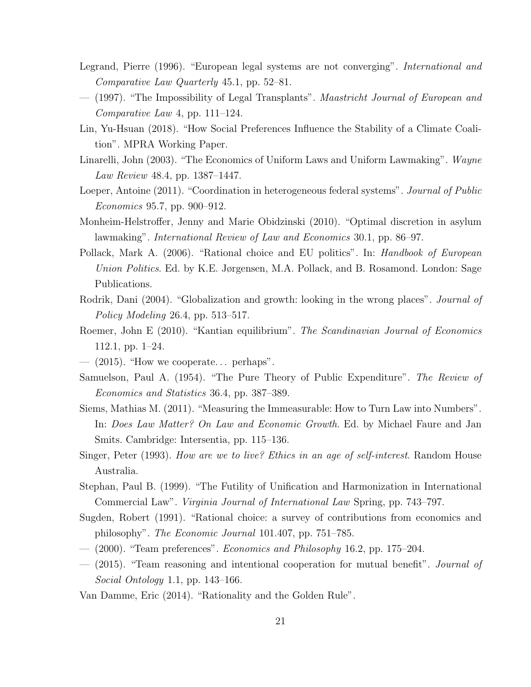- Legrand, Pierre (1996). "European legal systems are not converging". *International and* Comparative Law Quarterly 45.1, pp. 52–81.
- (1997). "The Impossibility of Legal Transplants". Maastricht Journal of European and Comparative Law 4, pp. 111–124.
- Lin, Yu-Hsuan (2018). "How Social Preferences Influence the Stability of a Climate Coalition". MPRA Working Paper.
- Linarelli, John (2003). "The Economics of Uniform Laws and Uniform Lawmaking". Wayne Law Review 48.4, pp. 1387–1447.
- Loeper, Antoine (2011). "Coordination in heterogeneous federal systems". Journal of Public Economics 95.7, pp. 900–912.
- Monheim-Helstroffer, Jenny and Marie Obidzinski (2010). "Optimal discretion in asylum lawmaking". International Review of Law and Economics 30.1, pp. 86–97.
- Pollack, Mark A. (2006). "Rational choice and EU politics". In: *Handbook of European* Union Politics. Ed. by K.E. Jørgensen, M.A. Pollack, and B. Rosamond. London: Sage Publications.
- Rodrik, Dani (2004). "Globalization and growth: looking in the wrong places". *Journal of* Policy Modeling 26.4, pp. 513–517.
- Roemer, John E (2010). "Kantian equilibrium". The Scandinavian Journal of Economics 112.1, pp. 1–24.
- $-$  (2015). "How we cooperate... perhaps".
- Samuelson, Paul A. (1954). "The Pure Theory of Public Expenditure". The Review of Economics and Statistics 36.4, pp. 387–389.
- Siems, Mathias M. (2011). "Measuring the Immeasurable: How to Turn Law into Numbers". In: Does Law Matter? On Law and Economic Growth. Ed. by Michael Faure and Jan Smits. Cambridge: Intersentia, pp. 115–136.
- Singer, Peter (1993). How are we to live? Ethics in an age of self-interest. Random House Australia.
- Stephan, Paul B. (1999). "The Futility of Unification and Harmonization in International Commercial Law". Virginia Journal of International Law Spring, pp. 743–797.
- Sugden, Robert (1991). "Rational choice: a survey of contributions from economics and philosophy". The Economic Journal 101.407, pp. 751–785.
- $-$  (2000). "Team preferences". *Economics and Philosophy* 16.2, pp. 175–204.
- (2015). "Team reasoning and intentional cooperation for mutual benefit". Journal of Social Ontology 1.1, pp. 143–166.
- Van Damme, Eric (2014). "Rationality and the Golden Rule".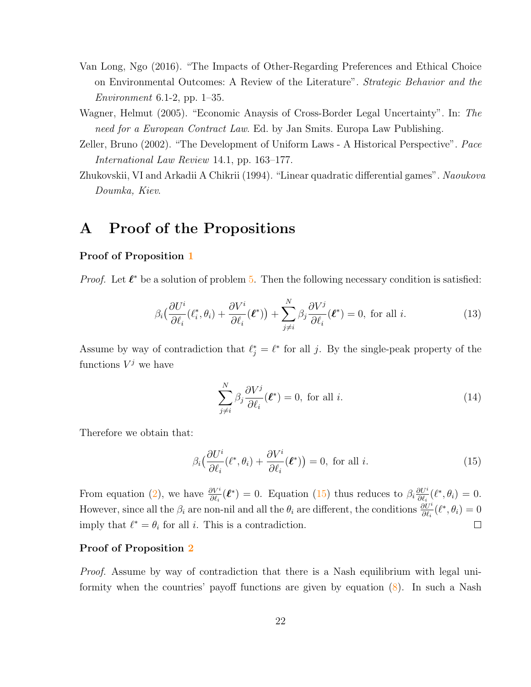- Van Long, Ngo (2016). "The Impacts of Other-Regarding Preferences and Ethical Choice on Environmental Outcomes: A Review of the Literature". Strategic Behavior and the Environment 6.1-2, pp.  $1-35$ .
- Wagner, Helmut (2005). "Economic Anaysis of Cross-Border Legal Uncertainty". In: The need for a European Contract Law. Ed. by Jan Smits. Europa Law Publishing.
- Zeller, Bruno (2002). "The Development of Uniform Laws A Historical Perspective". Pace International Law Review 14.1, pp. 163–177.
- Zhukovskii, VI and Arkadii A Chikrii (1994). "Linear quadratic differential games". Naoukova Doumka, Kiev.

## A Proof of the Propositions

### Proof of Proposition 1

*Proof.* Let  $\ell^*$  be a solution of problem 5. Then the following necessary condition is satisfied:

$$
\beta_i \left( \frac{\partial U^i}{\partial \ell_i} (\ell_i^*, \theta_i) + \frac{\partial V^i}{\partial \ell_i} (\boldsymbol{\ell}^*) \right) + \sum_{j \neq i}^N \beta_j \frac{\partial V^j}{\partial \ell_i} (\boldsymbol{\ell}^*) = 0, \text{ for all } i. \tag{13}
$$

Assume by way of contradiction that  $\ell_j^* = \ell^*$  for all j. By the single-peak property of the functions  $V^j$  we have

$$
\sum_{j\neq i}^{N} \beta_j \frac{\partial V^j}{\partial \ell_i}(\boldsymbol{\ell}^*) = 0, \text{ for all } i.
$$
 (14)

Therefore we obtain that:

$$
\beta_i \left( \frac{\partial U^i}{\partial \ell_i} (\ell^*, \theta_i) + \frac{\partial V^i}{\partial \ell_i} (\ell^*) \right) = 0, \text{ for all } i.
$$
 (15)

From equation (2), we have  $\frac{\partial V^i}{\partial \ell_i}(\ell^*) = 0$ . Equation (15) thus reduces to  $\beta_i \frac{\partial U^i}{\partial \ell_i}$  $\frac{\partial U^i}{\partial \ell_i}(\ell^*, \theta_i) = 0.$ However, since all the  $\beta_i$  are non-nil and all the  $\theta_i$  are different, the conditions  $\frac{\partial U^i}{\partial \ell_i}(\ell^*, \theta_i) = 0$ imply that  $\ell^* = \theta_i$  for all i. This is a contradiction.  $\Box$ 

### Proof of Proposition 2

Proof. Assume by way of contradiction that there is a Nash equilibrium with legal uniformity when the countries' payoff functions are given by equation (8). In such a Nash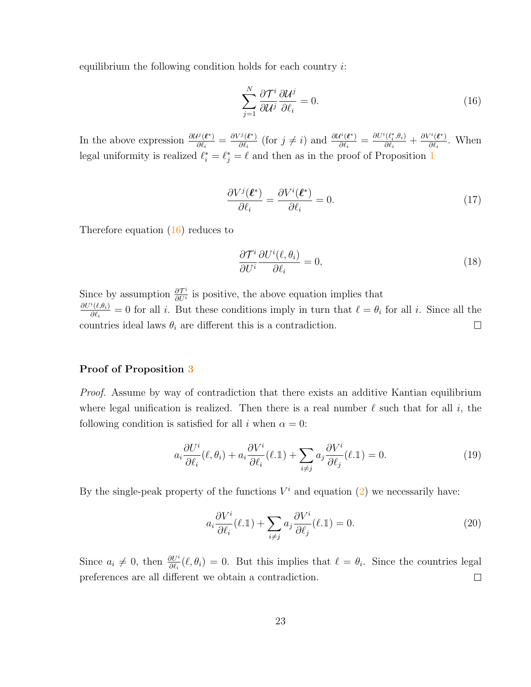equilibrium the following condition holds for each country  $i$ :

$$
\sum_{j=1}^{N} \frac{\partial \mathcal{T}^i}{\partial \mathcal{U}^j} \frac{\partial \mathcal{U}^j}{\partial \ell_i} = 0.
$$
\n(16)

In the above expression  $\frac{\partial U^j(\ell^*)}{\partial \ell^*}$  $\frac{\partial^{j}(\bm{\ell}^*)}{\partial \ell_i} = \frac{\partial V^j(\bm{\ell}^*)}{\partial \ell_i}$  $\frac{\partial \mathcal{U}^i(\ell^*)}{\partial \ell_i}$  (for  $j \neq i$ ) and  $\frac{\partial \mathcal{U}^i(\ell^*)}{\partial \ell_i}$  $\frac{\partial \ell^{i}(\boldsymbol{\ell}^*)}{\partial \ell_i} = \frac{\partial U^i(\ell^*_i, \theta_i)}{\partial \ell_i}$  $\frac{\partial \theta_i^{*}(\boldsymbol{\ell}_i^{*}, \theta_i)}{\partial \ell_i} + \frac{\partial V^i(\boldsymbol{\ell}^{*})}{\partial \ell_i}$  $\frac{\partial(\boldsymbol{\ell})}{\partial \ell_i}$ . When legal uniformity is realized  $\ell_i^* = \ell_j^* = \ell$  and then as in the proof of Proposition 1

$$
\frac{\partial V^j(\boldsymbol{\ell}^*)}{\partial \ell_i} = \frac{\partial V^i(\boldsymbol{\ell}^*)}{\partial \ell_i} = 0.
$$
\n(17)

Therefore equation (16) reduces to

$$
\frac{\partial \mathcal{T}^i}{\partial U^i} \frac{\partial U^i(\ell, \theta_i)}{\partial \ell_i} = 0,\tag{18}
$$

Since by assumption  $\frac{\partial \mathcal{T}^i}{\partial U^i}$  $\frac{\partial T^i}{\partial U^i}$  is positive, the above equation implies that  $\partial U^i(\ell,\theta_i)$  $\frac{\partial^{\alpha}(t,\theta_i)}{\partial \theta_i} = 0$  for all i. But these conditions imply in turn that  $\ell = \theta_i$  for all i. Since all the countries ideal laws  $\theta_i$  are different this is a contradiction.  $\Box$ 

### Proof of Proposition 3

Proof. Assume by way of contradiction that there exists an additive Kantian equilibrium where legal unification is realized. Then there is a real number  $\ell$  such that for all i, the following condition is satisfied for all i when  $\alpha = 0$ :

$$
a_i \frac{\partial U^i}{\partial \ell_i}(\ell, \theta_i) + a_i \frac{\partial V^i}{\partial \ell_i}(\ell, \mathbb{I}) + \sum_{i \neq j} a_j \frac{\partial V^i}{\partial \ell_j}(\ell, \mathbb{I}) = 0.
$$
 (19)

By the single-peak property of the functions  $V^i$  and equation  $(2)$  we necessarily have:

$$
a_i \frac{\partial V^i}{\partial \ell_i}(\ell, \mathbb{1}) + \sum_{i \neq j} a_j \frac{\partial V^i}{\partial \ell_j}(\ell, \mathbb{1}) = 0.
$$
 (20)

Since  $a_i \neq 0$ , then  $\frac{\partial U^i}{\partial \ell_i}(\ell, \theta_i) = 0$ . But this implies that  $\ell = \theta_i$ . Since the countries legal preferences are all different we obtain a contradiction.  $\Box$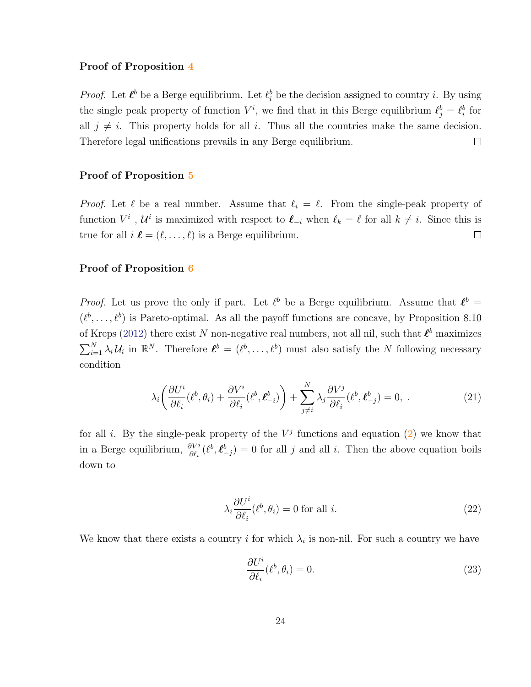#### Proof of Proposition 4

*Proof.* Let  $\ell^b$  be a Berge equilibrium. Let  $\ell^b_i$  be the decision assigned to country i. By using the single peak property of function  $V^i$ , we find that in this Berge equilibrium  $\ell_j^b = \ell_i^b$  for all  $j \neq i$ . This property holds for all i. Thus all the countries make the same decision. Therefore legal unifications prevails in any Berge equilibrium.  $\Box$ 

#### Proof of Proposition 5

*Proof.* Let  $\ell$  be a real number. Assume that  $\ell_i = \ell$ . From the single-peak property of function  $V^i$ ,  $\mathcal{U}^i$  is maximized with respect to  $\ell_{-i}$  when  $\ell_k = \ell$  for all  $k \neq i$ . Since this is true for all  $i \ell = (\ell, \ldots, \ell)$  is a Berge equilibrium.  $\Box$ 

### Proof of Proposition 6

*Proof.* Let us prove the only if part. Let  $\ell^b$  be a Berge equilibrium. Assume that  $\ell^b$  =  $(\ell^b, \ldots, \ell^b)$  is Pareto-optimal. As all the payoff functions are concave, by Proposition 8.10 of Kreps (2012) there exist N non-negative real numbers, not all nil, such that  $\ell^b$  maximizes  $\sum_{i=1}^N \lambda_i \mathcal{U}_i$  in  $\mathbb{R}^N$ . Therefore  $\mathcal{L}^b = (\ell^b, \dots, \ell^b)$  must also satisfy the N following necessary condition

$$
\lambda_i \left( \frac{\partial U^i}{\partial \ell_i} (\ell^b, \theta_i) + \frac{\partial V^i}{\partial \ell_i} (\ell^b, \ell^b_{-i}) \right) + \sum_{j \neq i}^N \lambda_j \frac{\partial V^j}{\partial \ell_i} (\ell^b, \ell^b_{-j}) = 0, \tag{21}
$$

for all i. By the single-peak property of the  $V^j$  functions and equation  $(2)$  we know that in a Berge equilibrium,  $\frac{\partial V^j}{\partial \ell_i}(\ell^b, \ell^b_{-j}) = 0$  for all j and all i. Then the above equation boils down to

$$
\lambda_i \frac{\partial U^i}{\partial \ell_i} (\ell^b, \theta_i) = 0 \text{ for all } i.
$$
 (22)

We know that there exists a country i for which  $\lambda_i$  is non-nil. For such a country we have

$$
\frac{\partial U^i}{\partial \ell_i}(\ell^b, \theta_i) = 0. \tag{23}
$$